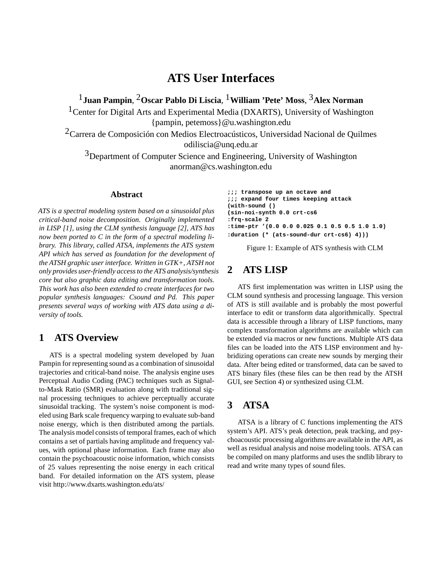# **ATS User Interfaces**

1**Juan Pampin**, 2**Oscar Pablo Di Liscia**, 1**William 'Pete' Moss**, 3**Alex Norman**

<sup>1</sup> Center for Digital Arts and Experimental Media (DXARTS), University of Washington {pampin, petemoss}@u.washington.edu

 $2$ Carrera de Composición con Medios Electroacústicos, Universidad Nacional de Quilmes odiliscia@unq.edu.ar

<sup>3</sup>Department of Computer Science and Engineering, University of Washington anorman@cs.washington.edu

### **Abstract**

*ATS is a spectral modeling system based on a sinusoidal plus critical-band noise decomposition. Originally implemented in LISP [1], using the CLM synthesis language [2], ATS has now been ported to C in the form of a spectral modeling library. This library, called ATSA, implements the ATS system API which has served as foundation for the development of the ATSH graphic user interface. Written in GTK+, ATSH not only provides user-friendly access to the ATS analysis/synthesis core but also graphic data editing and transformation tools. This work has also been extended to create interfaces for two popular synthesis languages: Csound and Pd. This paper presents several ways of working with ATS data using a diversity of tools.*

## **1 ATS Overview**

ATS is a spectral modeling system developed by Juan Pampin for representing sound as a combination of sinusoidal trajectories and critical-band noise. The analysis engine uses Perceptual Audio Coding (PAC) techniques such as Signalto-Mask Ratio (SMR) evaluation along with traditional signal processing techniques to achieve perceptually accurate sinusoidal tracking. The system's noise component is modeled using Bark scale frequency warping to evaluate sub-band noise energy, which is then distributed among the partials. The analysis model consists of temporal frames, each of which contains a set of partials having amplitude and frequency values, with optional phase information. Each frame may also contain the psychoacoustic noise information, which consists of 25 values representing the noise energy in each critical band. For detailed information on the ATS system, please visit http://www.dxarts.washington.edu/ats/

```
;;; transpose up an octave and
;;; expand four times keeping attack
(with-sound ()
(sin-noi-synth 0.0 crt-cs6
:frq-scale 2
:time-ptr '(0.0 0.0 0.025 0.1 0.5 0.5 1.0 1.0)
:duration (* (ats-sound-dur crt-cs6) 4)))
```
Figure 1: Example of ATS synthesis with CLM

### **2 ATS LISP**

ATS first implementation was written in LISP using the CLM sound synthesis and processing language. This version of ATS is still available and is probably the most powerful interface to edit or transform data algorithmically. Spectral data is accessible through a library of LISP functions, many complex transformation algorithms are available which can be extended via macros or new functions. Multiple ATS data files can be loaded into the ATS LISP environment and hybridizing operations can create new sounds by merging their data. After being edited or transformed, data can be saved to ATS binary files (these files can be then read by the ATSH GUI, see Section 4) or synthesized using CLM.

### **3 ATSA**

ATSA is a library of C functions implementing the ATS system's API. ATS's peak detection, peak tracking, and psychoacoustic processing algorithms are available in the API, as well as residual analysis and noise modeling tools. ATSA can be compiled on many platforms and uses the sndlib library to read and write many types of sound files.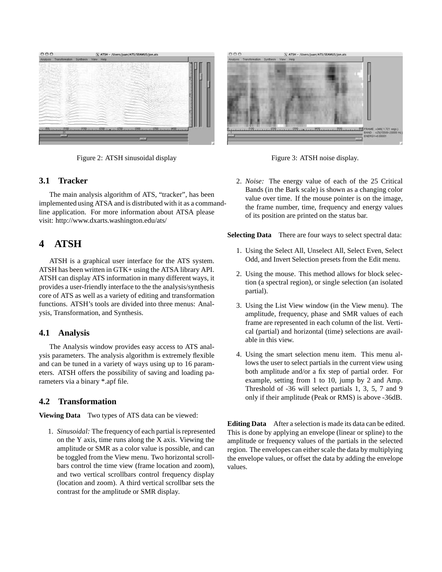

Figure 2: ATSH sinusoidal display

### **3.1 Tracker**

The main analysis algorithm of ATS, "tracker", has been implemented using ATSA and is distributed with it as a commandline application. For more information about ATSA please visit: http://www.dxarts.washington.edu/ats/

# **4 ATSH**

ATSH is a graphical user interface for the ATS system. ATSH has been written in GTK+ using the ATSA library API. ATSH can display ATS information in many different ways, it provides a user-friendly interface to the the analysis/synthesis core of ATS as well as a variety of editing and transformation functions. ATSH's tools are divided into three menus: Analysis, Transformation, and Synthesis.

### **4.1 Analysis**

The Analysis window provides easy access to ATS analysis parameters. The analysis algorithm is extremely flexible and can be tuned in a variety of ways using up to 16 parameters. ATSH offers the possibility of saving and loading parameters via a binary \*.apf file.

### **4.2 Transformation**

**Viewing Data** Two types of ATS data can be viewed:

1. *Sinusoidal:* The frequency of each partial is represented on the Y axis, time runs along the X axis. Viewing the amplitude or SMR as a color value is possible, and can be toggled from the View menu. Two horizontal scrollbars control the time view (frame location and zoom), and two vertical scrollbars control frequency display (location and zoom). A third vertical scrollbar sets the contrast for the amplitude or SMR display.



Figure 3: ATSH noise display.

2. *Noise:* The energy value of each of the 25 Critical Bands (in the Bark scale) is shown as a changing color value over time. If the mouse pointer is on the image, the frame number, time, frequency and energy values of its position are printed on the status bar.

**Selecting Data** There are four ways to select spectral data:

- 1. Using the Select All, Unselect All, Select Even, Select Odd, and Invert Selection presets from the Edit menu.
- 2. Using the mouse. This method allows for block selection (a spectral region), or single selection (an isolated partial).
- 3. Using the List View window (in the View menu). The amplitude, frequency, phase and SMR values of each frame are represented in each column of the list. Vertical (partial) and horizontal (time) selections are available in this view.
- 4. Using the smart selection menu item. This menu allows the user to select partials in the current view using both amplitude and/or a fix step of partial order. For example, setting from 1 to 10, jump by 2 and Amp. Threshold of -36 will select partials 1, 3, 5, 7 and 9 only if their amplitude (Peak or RMS) is above -36dB.

**Editing Data** After a selection is made its data can be edited. This is done by applying an envelope (linear or spline) to the amplitude or frequency values of the partials in the selected region. The envelopes can either scale the data by multiplying the envelope values, or offset the data by adding the envelope values.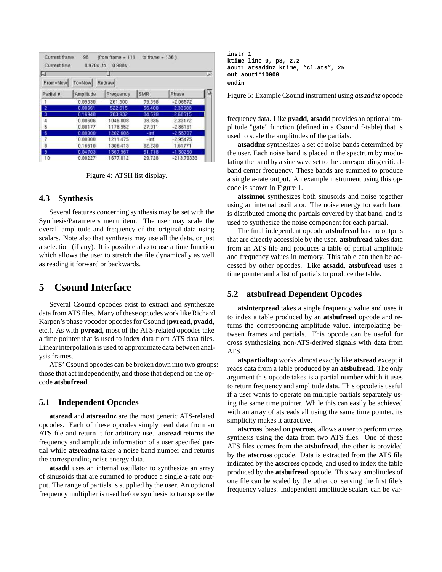| $\overline{u}$<br>To-Now<br>From-Now<br>Redraw |           |           |            |              |
|------------------------------------------------|-----------|-----------|------------|--------------|
| Partial #                                      | Amplitude | Frequency | <b>SMR</b> | Phase        |
| -1                                             | 0.09330   | 261,300   | 79.398     | $-2.06572$   |
| -2                                             | 0.00661   | 522.615   | 56,400     | 2.33688      |
| $\overline{\mathbf{3}}$                        | 0.16940   | 783.932   | 84.578     | 2.60515      |
|                                                | 0.00606   | 1046 008  | 38.935     | 2.33172      |
| $\frac{4}{5}$                                  | 0.00177   | 1178.952  | 27.911     | $-2.86161$   |
| 16                                             | 0.60000   | 1202.608  | $-1nt$     | $-2.55707$   |
|                                                | 0.00000   | 1211.475  | $-inf$     | $-2.95475$   |
| 8                                              | 0.16610   | 1306415   | 82.230     | 1.61771      |
| з                                              | 0.04703   | 1567.967  | 51.718     | $-1.50250$   |
| 10                                             | 0.00227   | 1677.812  | 29.728     | $-213.79333$ |

Figure 4: ATSH list display.

#### **4.3 Synthesis**

Several features concerning synthesis may be set with the Synthesis/Parameters menu item. The user may scale the overall amplitude and frequency of the original data using scalars. Note also that synthesis may use all the data, or just a selection (if any). It is possible also to use a time function which allows the user to stretch the file dynamically as well as reading it forward or backwards.

## **5 Csound Interface**

Several Csound opcodes exist to extract and synthesize data from ATS files. Many of these opcodes work like Richard Karpen's phase vocoder opcodes for Csound (**pvread**, **pvadd**, etc.). As with **pvread**, most of the ATS-related opcodes take a time pointer that is used to index data from ATS data files. Linear interpolation is used to approximate data between analysis frames.

ATS' Csound opcodes can be broken down into two groups: those that act independently, and those that depend on the opcode **atsbufread**.

### **5.1 Independent Opcodes**

**atsread** and **atsreadnz** are the most generic ATS-related opcodes. Each of these opcodes simply read data from an ATS file and return it for arbitrary use. **atsread** returns the frequency and amplitude information of a user specified partial while **atsreadnz** takes a noise band number and returns the corresponding noise energy data.

**atsadd** uses an internal oscillator to synthesize an array of sinusoids that are summed to produce a single a-rate output. The range of partials is supplied by the user. An optional frequency multiplier is used before synthesis to transpose the **instr 1 ktime line 0, p3, 2.2 aout1 atsaddnz ktime, "cl.ats", 25 out aout1\*10000 endin**

Figure 5: Example Csound instrument using *atsaddnz* opcode

frequency data. Like **pvadd**, **atsadd** provides an optional amplitude "gate" function (defined in a Csound f-table) that is used to scale the amplitudes of the partials.

**atsaddnz** synthesizes a set of noise bands determined by the user. Each noise band is placed in the spectrum by modulating the band by a sine wave set to the corresponding criticalband center frequency. These bands are summed to produce a single a-rate output. An example instrument using this opcode is shown in Figure 1.

**atssinnoi** synthesizes both sinusoids and noise together using an internal oscillator. The noise energy for each band is distributed among the partials covered by that band, and is used to synthesize the noise component for each partial.

The final independent opcode **atsbufread** has no outputs that are directly accessible by the user. **atsbufread** takes data from an ATS file and produces a table of partial amplitude and frequency values in memory. This table can then be accessed by other opcodes. Like **atsadd**, **atsbufread** uses a time pointer and a list of partials to produce the table.

### **5.2 atsbufread Dependent Opcodes**

**atsinterpread** takes a single frequency value and uses it to index a table produced by an **atsbufread** opcode and returns the corresponding amplitude value, interpolating between frames and partials. This opcode can be useful for cross synthesizing non-ATS-derived signals with data from ATS.

**atspartialtap** works almost exactly like **atsread** except it reads data from a table produced by an **atsbufread**. The only argument this opcode takes is a partial number which it uses to return frequency and amplitude data. This opcode is useful if a user wants to operate on multiple partials separately using the same time pointer. While this can easily be achieved with an array of atsreads all using the same time pointer, its simplicity makes it attractive.

**atscross**, based on **pvcross**, allows a user to perform cross synthesis using the data from two ATS files. One of these ATS files comes from the **atsbufread**, the other is provided by the **atscross** opcode. Data is extracted from the ATS file indicated by the **atscross** opcode, and used to index the table produced by the **atsbufread** opcode. This way amplitudes of one file can be scaled by the other conserving the first file's frequency values. Independent amplitude scalars can be var